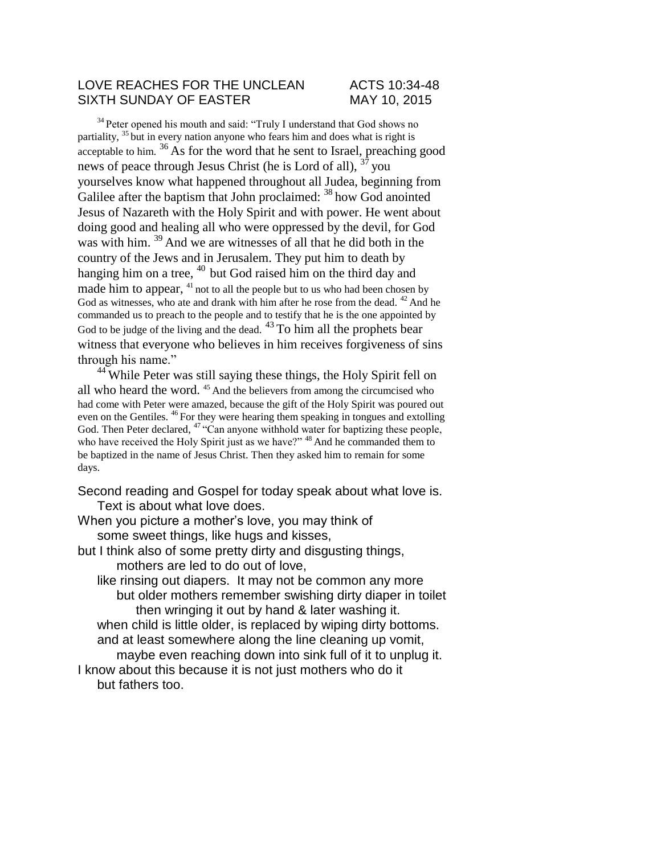## LOVE REACHES FOR THE UNCLEAN ACTS 10:34-48 SIXTH SUNDAY OF EASTER MAY 10. 2015

<sup>34</sup> Peter opened his mouth and said: "Truly I understand that God shows no partiality,  $35$  but in every nation anyone who fears him and does what is right is  $\alpha$  acceptable to him.  $36$  As for the word that he sent to Israel, preaching good news of peace through Jesus Christ (he is Lord of all),  $37$  you yourselves know what happened throughout all Judea, beginning from Galilee after the baptism that John proclaimed: <sup>38</sup> how God anointed Jesus of Nazareth with the Holy Spirit and with power. He went about doing good and healing all who were oppressed by the devil, for God was with him. <sup>39</sup> And we are witnesses of all that he did both in the country of the Jews and in Jerusalem. They put him to death by hanging him on a tree,  $40$  but God raised him on the third day and made him to appear,  $41$  not to all the people but to us who had been chosen by God as witnesses, who ate and drank with him after he rose from the dead.  $42$  And he commanded us to preach to the people and to testify that he is the one appointed by God to be judge of the living and the dead. <sup>43</sup> To him all the prophets bear witness that everyone who believes in him receives forgiveness of sins through his name."

<sup>44</sup> While Peter was still saying these things, the Holy Spirit fell on all who heard the word.<sup>45</sup> And the believers from among the circumcised who had come with Peter were amazed, because the gift of the Holy Spirit was poured out even on the Gentiles. <sup>46</sup>For they were hearing them speaking in tongues and extolling God. Then Peter declared,  $47 \text{``Can anyone without water for baptizing these people,}$ who have received the Holy Spirit just as we have?" <sup>48</sup> And he commanded them to be baptized in the name of Jesus Christ. Then they asked him to remain for some days.

Second reading and Gospel for today speak about what love is. Text is about what love does.

When you picture a mother's love, you may think of some sweet things, like hugs and kisses,

but I think also of some pretty dirty and disgusting things, mothers are led to do out of love,

like rinsing out diapers. It may not be common any more but older mothers remember swishing dirty diaper in toilet then wringing it out by hand & later washing it. when child is little older, is replaced by wiping dirty bottoms. and at least somewhere along the line cleaning up vomit, maybe even reaching down into sink full of it to unplug it. I know about this because it is not just mothers who do it

but fathers too.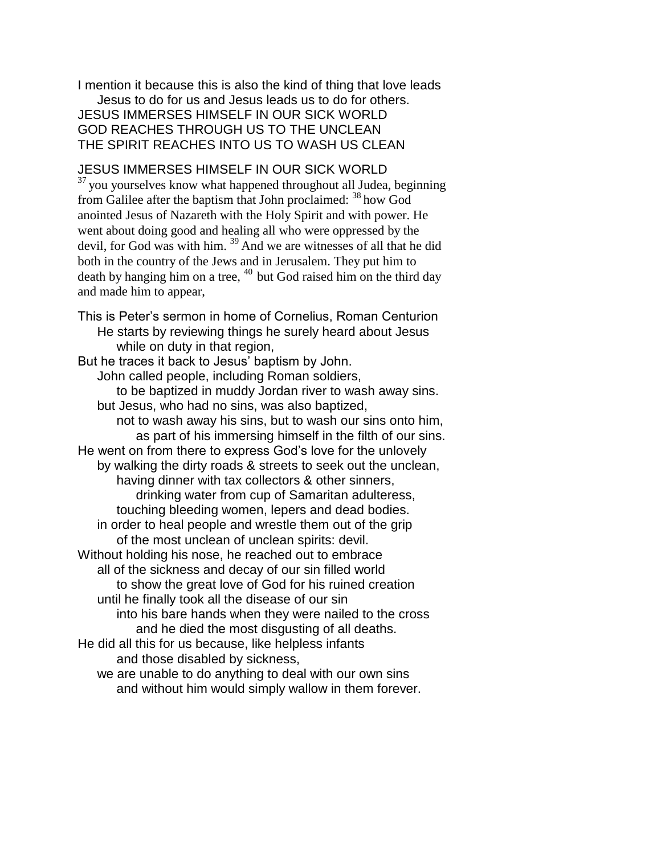I mention it because this is also the kind of thing that love leads Jesus to do for us and Jesus leads us to do for others. JESUS IMMERSES HIMSELF IN OUR SICK WORLD GOD REACHES THROUGH US TO THE UNCLEAN THE SPIRIT REACHES INTO US TO WASH US CLEAN

## JESUS IMMERSES HIMSELF IN OUR SICK WORLD

<sup>37</sup> you yourselves know what happened throughout all Judea, beginning from Galilee after the baptism that John proclaimed: <sup>38</sup> how God anointed Jesus of Nazareth with the Holy Spirit and with power. He went about doing good and healing all who were oppressed by the devil, for God was with him.  $39$  And we are witnesses of all that he did both in the country of the Jews and in Jerusalem. They put him to death by hanging him on a tree,  $40$  but God raised him on the third day and made him to appear,

This is Peter's sermon in home of Cornelius, Roman Centurion He starts by reviewing things he surely heard about Jesus while on duty in that region,

But he traces it back to Jesus' baptism by John. John called people, including Roman soldiers, to be baptized in muddy Jordan river to wash away sins. but Jesus, who had no sins, was also baptized, not to wash away his sins, but to wash our sins onto him, as part of his immersing himself in the filth of our sins. He went on from there to express God's love for the unlovely by walking the dirty roads & streets to seek out the unclean, having dinner with tax collectors & other sinners, drinking water from cup of Samaritan adulteress, touching bleeding women, lepers and dead bodies. in order to heal people and wrestle them out of the grip of the most unclean of unclean spirits: devil. Without holding his nose, he reached out to embrace all of the sickness and decay of our sin filled world to show the great love of God for his ruined creation until he finally took all the disease of our sin into his bare hands when they were nailed to the cross and he died the most disgusting of all deaths. He did all this for us because, like helpless infants and those disabled by sickness, we are unable to do anything to deal with our own sins

and without him would simply wallow in them forever.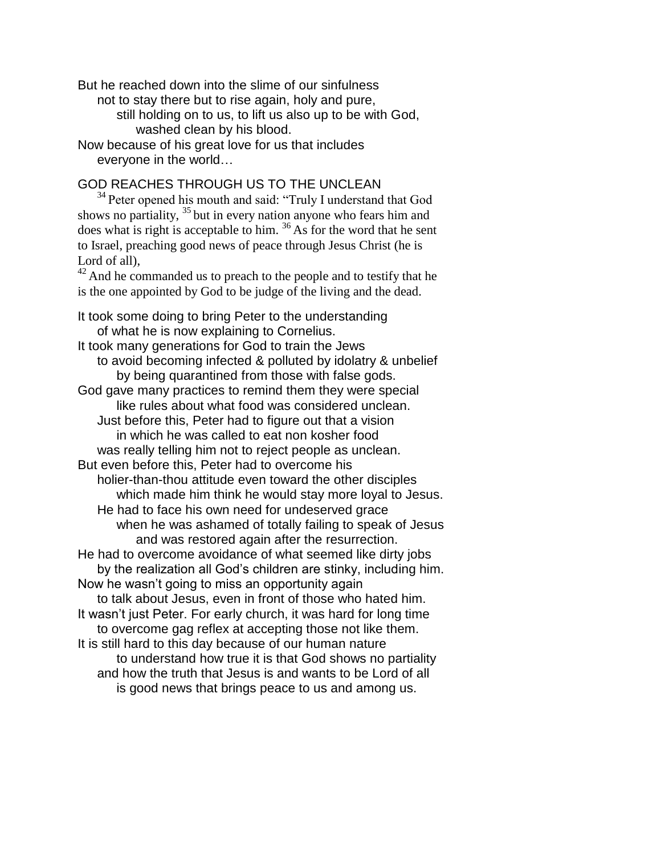But he reached down into the slime of our sinfulness not to stay there but to rise again, holy and pure, still holding on to us, to lift us also up to be with God, washed clean by his blood. Now because of his great love for us that includes

everyone in the world…

## GOD REACHES THROUGH US TO THE UNCLEAN

<sup>34</sup> Peter opened his mouth and said: "Truly I understand that God shows no partiality,  $35$  but in every nation anyone who fears him and does what is right is acceptable to him. <sup>36</sup> As for the word that he sent to Israel, preaching good news of peace through Jesus Christ (he is Lord of all),

<sup>42</sup> And he commanded us to preach to the people and to testify that he is the one appointed by God to be judge of the living and the dead.

It took some doing to bring Peter to the understanding of what he is now explaining to Cornelius. It took many generations for God to train the Jews to avoid becoming infected & polluted by idolatry & unbelief by being quarantined from those with false gods. God gave many practices to remind them they were special like rules about what food was considered unclean. Just before this, Peter had to figure out that a vision in which he was called to eat non kosher food was really telling him not to reject people as unclean. But even before this, Peter had to overcome his holier-than-thou attitude even toward the other disciples which made him think he would stay more loyal to Jesus. He had to face his own need for undeserved grace when he was ashamed of totally failing to speak of Jesus and was restored again after the resurrection. He had to overcome avoidance of what seemed like dirty jobs by the realization all God's children are stinky, including him. Now he wasn't going to miss an opportunity again to talk about Jesus, even in front of those who hated him. It wasn't just Peter. For early church, it was hard for long time to overcome gag reflex at accepting those not like them. It is still hard to this day because of our human nature to understand how true it is that God shows no partiality and how the truth that Jesus is and wants to be Lord of all is good news that brings peace to us and among us.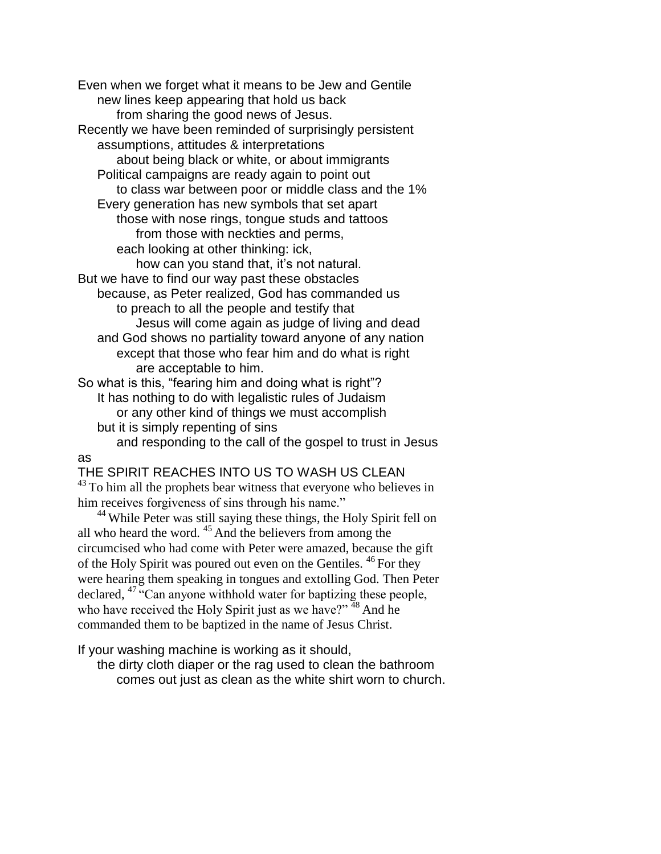Even when we forget what it means to be Jew and Gentile new lines keep appearing that hold us back from sharing the good news of Jesus. Recently we have been reminded of surprisingly persistent assumptions, attitudes & interpretations about being black or white, or about immigrants Political campaigns are ready again to point out to class war between poor or middle class and the 1% Every generation has new symbols that set apart those with nose rings, tongue studs and tattoos from those with neckties and perms, each looking at other thinking: ick, how can you stand that, it's not natural. But we have to find our way past these obstacles because, as Peter realized, God has commanded us to preach to all the people and testify that Jesus will come again as judge of living and dead and God shows no partiality toward anyone of any nation except that those who fear him and do what is right are acceptable to him. So what is this, "fearing him and doing what is right"? It has nothing to do with legalistic rules of Judaism or any other kind of things we must accomplish but it is simply repenting of sins

and responding to the call of the gospel to trust in Jesus as

THE SPIRIT REACHES INTO US TO WASH US CLEAN  $43$  To him all the prophets bear witness that everyone who believes in

him receives forgiveness of sins through his name."

<sup>44</sup> While Peter was still saying these things, the Holy Spirit fell on all who heard the word.  $45$  And the believers from among the circumcised who had come with Peter were amazed, because the gift of the Holy Spirit was poured out even on the Gentiles. <sup>46</sup> For they were hearing them speaking in tongues and extolling God. Then Peter declared, <sup>47 "</sup>Can anyone withhold water for baptizing these people, who have received the Holy Spirit just as we have?"  $48$  And he commanded them to be baptized in the name of Jesus Christ.

If your washing machine is working as it should,

the dirty cloth diaper or the rag used to clean the bathroom comes out just as clean as the white shirt worn to church.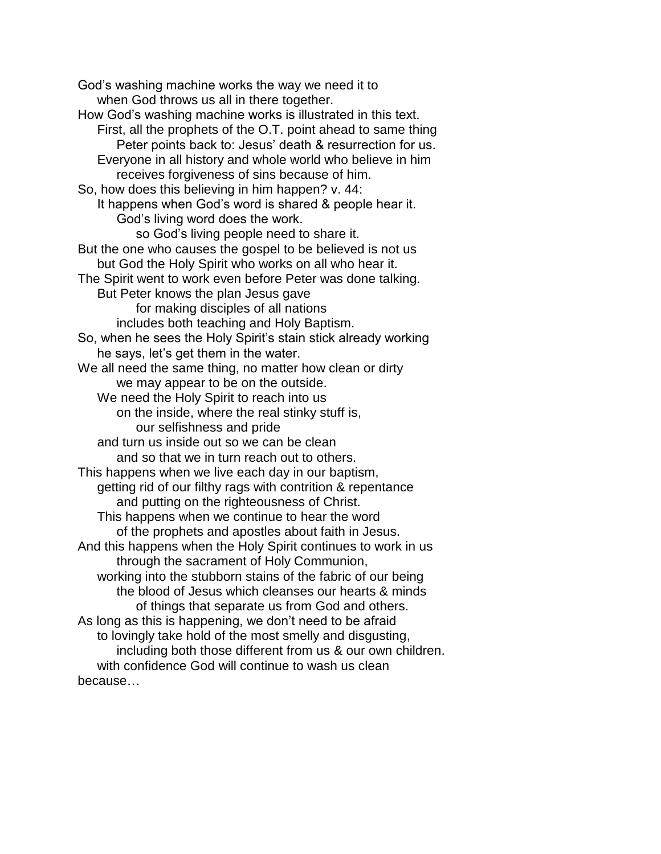God's washing machine works the way we need it to when God throws us all in there together. How God's washing machine works is illustrated in this text. First, all the prophets of the O.T. point ahead to same thing Peter points back to: Jesus' death & resurrection for us. Everyone in all history and whole world who believe in him receives forgiveness of sins because of him. So, how does this believing in him happen? v. 44: It happens when God's word is shared & people hear it. God's living word does the work. so God's living people need to share it. But the one who causes the gospel to be believed is not us but God the Holy Spirit who works on all who hear it. The Spirit went to work even before Peter was done talking. But Peter knows the plan Jesus gave for making disciples of all nations includes both teaching and Holy Baptism. So, when he sees the Holy Spirit's stain stick already working he says, let's get them in the water. We all need the same thing, no matter how clean or dirty we may appear to be on the outside. We need the Holy Spirit to reach into us on the inside, where the real stinky stuff is, our selfishness and pride and turn us inside out so we can be clean and so that we in turn reach out to others. This happens when we live each day in our baptism, getting rid of our filthy rags with contrition & repentance and putting on the righteousness of Christ. This happens when we continue to hear the word of the prophets and apostles about faith in Jesus. And this happens when the Holy Spirit continues to work in us through the sacrament of Holy Communion, working into the stubborn stains of the fabric of our being the blood of Jesus which cleanses our hearts & minds of things that separate us from God and others. As long as this is happening, we don't need to be afraid to lovingly take hold of the most smelly and disgusting, including both those different from us & our own children. with confidence God will continue to wash us clean because…